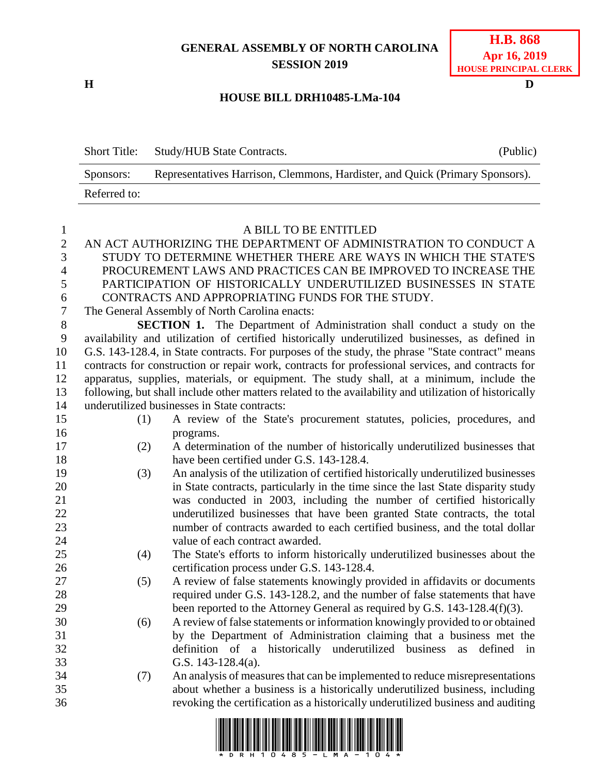## **GENERAL ASSEMBLY OF NORTH CAROLINA SESSION 2019**

**H D**

| <b>H.B.</b> 868              |
|------------------------------|
| Apr 16, 2019                 |
| <b>HOUSE PRINCIPAL CLERK</b> |

## **HOUSE BILL DRH10485-LMa-104**

|   | <b>Short Title:</b> | Study/HUB State Contracts.                                                   | (Public) |
|---|---------------------|------------------------------------------------------------------------------|----------|
|   | Sponsors:           | Representatives Harrison, Clemmons, Hardister, and Quick (Primary Sponsors). |          |
|   | Referred to:        |                                                                              |          |
|   |                     |                                                                              |          |
|   |                     | A BILL TO BE ENTITLED                                                        |          |
| 2 |                     | AN ACT AUTHORIZING THE DEPARTMENT OF ADMINISTRATION TO CONDUCT A             |          |
| 3 |                     | STUDY TO DETERMINE WHETHER THERE ARE WAYS IN WHICH THE STATE'S               |          |
| 4 |                     | PROCUREMENT LAWS AND PRACTICES CAN BE IMPROVED TO INCREASE THE               |          |

 PARTICIPATION OF HISTORICALLY UNDERUTILIZED BUSINESSES IN STATE CONTRACTS AND APPROPRIATING FUNDS FOR THE STUDY.

The General Assembly of North Carolina enacts:

 **SECTION 1.** The Department of Administration shall conduct a study on the availability and utilization of certified historically underutilized businesses, as defined in G.S. 143-128.4, in State contracts. For purposes of the study, the phrase "State contract" means contracts for construction or repair work, contracts for professional services, and contracts for apparatus, supplies, materials, or equipment. The study shall, at a minimum, include the following, but shall include other matters related to the availability and utilization of historically underutilized businesses in State contracts:

- (1) A review of the State's procurement statutes, policies, procedures, and
- programs. (2) A determination of the number of historically underutilized businesses that 18 have been certified under G.S. 143-128.4.
- (3) An analysis of the utilization of certified historically underutilized businesses in State contracts, particularly in the time since the last State disparity study was conducted in 2003, including the number of certified historically underutilized businesses that have been granted State contracts, the total number of contracts awarded to each certified business, and the total dollar value of each contract awarded.
- (4) The State's efforts to inform historically underutilized businesses about the certification process under G.S. 143-128.4.
- (5) A review of false statements knowingly provided in affidavits or documents required under G.S. 143-128.2, and the number of false statements that have 29 been reported to the Attorney General as required by G.S. 143-128.4(f)(3).
- (6) A review of false statements or information knowingly provided to or obtained by the Department of Administration claiming that a business met the definition of a historically underutilized business as defined in G.S. 143-128.4(a).
- (7) An analysis of measures that can be implemented to reduce misrepresentations about whether a business is a historically underutilized business, including revoking the certification as a historically underutilized business and auditing